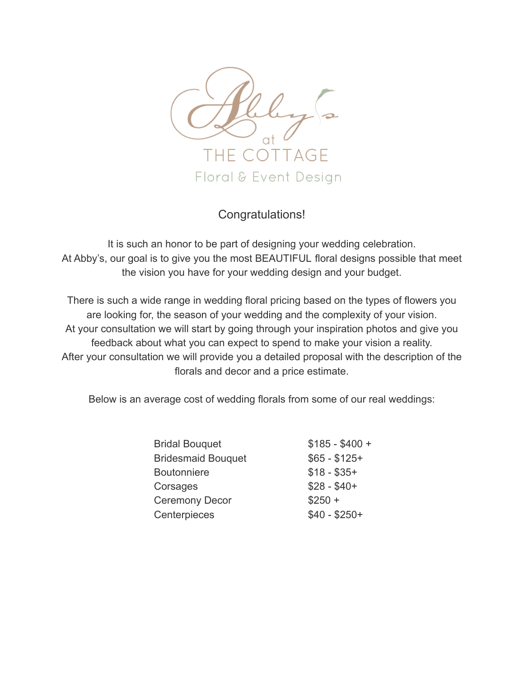

## Congratulations!

It is such an honor to be part of designing your wedding celebration. At Abby's, our goal is to give you the most BEAUTIFUL floral designs possible that meet the vision you have for your wedding design and your budget.

There is such a wide range in wedding floral pricing based on the types of flowers you are looking for, the season of your wedding and the complexity of your vision. At your consultation we will start by going through your inspiration photos and give you feedback about what you can expect to spend to make your vision a reality. After your consultation we will provide you a detailed proposal with the description of the florals and decor and a price estimate.

Below is an average cost of wedding florals from some of our real weddings:

| <b>Bridal Bouquet</b>     | $$185 - $400 +$ |
|---------------------------|-----------------|
| <b>Bridesmaid Bouquet</b> | $$65 - $125+$   |
| <b>Boutonniere</b>        | $$18 - $35+$    |
| Corsages                  | $$28 - $40+$    |
| <b>Ceremony Decor</b>     | $$250 +$        |
| Centerpieces              | $$40 - $250+$   |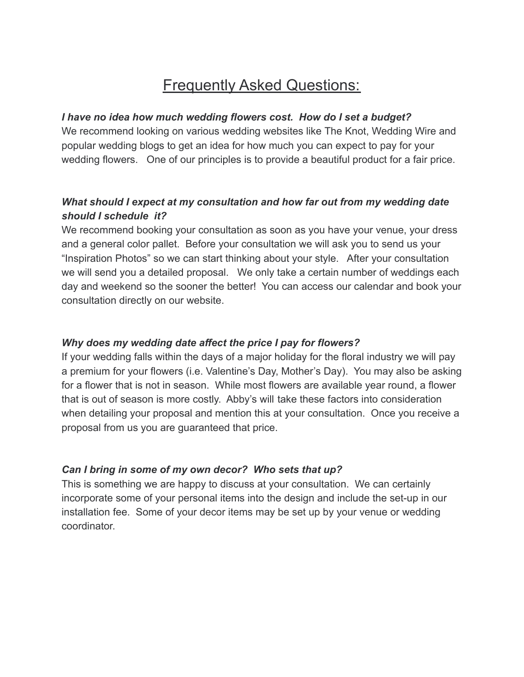# **Frequently Asked Questions:**

#### *I have no idea how much wedding flowers cost. How do I set a budget?*

We recommend looking on various wedding websites like The Knot, Wedding Wire and popular wedding blogs to get an idea for how much you can expect to pay for your wedding flowers. One of our principles is to provide a beautiful product for a fair price.

### *What should I expect at my consultation and how far out from my wedding date should I schedule it?*

We recommend booking your consultation as soon as you have your venue, your dress and a general color pallet. Before your consultation we will ask you to send us your "Inspiration Photos" so we can start thinking about your style. After your consultation we will send you a detailed proposal. We only take a certain number of weddings each day and weekend so the sooner the better! You can access our calendar and book your consultation directly on our website.

#### *Why does my wedding date affect the price I pay for flowers?*

If your wedding falls within the days of a major holiday for the floral industry we will pay a premium for your flowers (i.e. Valentine's Day, Mother's Day). You may also be asking for a flower that is not in season. While most flowers are available year round, a flower that is out of season is more costly. Abby's will take these factors into consideration when detailing your proposal and mention this at your consultation. Once you receive a proposal from us you are guaranteed that price.

#### *Can I bring in some of my own decor? Who sets that up?*

This is something we are happy to discuss at your consultation. We can certainly incorporate some of your personal items into the design and include the set-up in our installation fee. Some of your decor items may be set up by your venue or wedding coordinator.